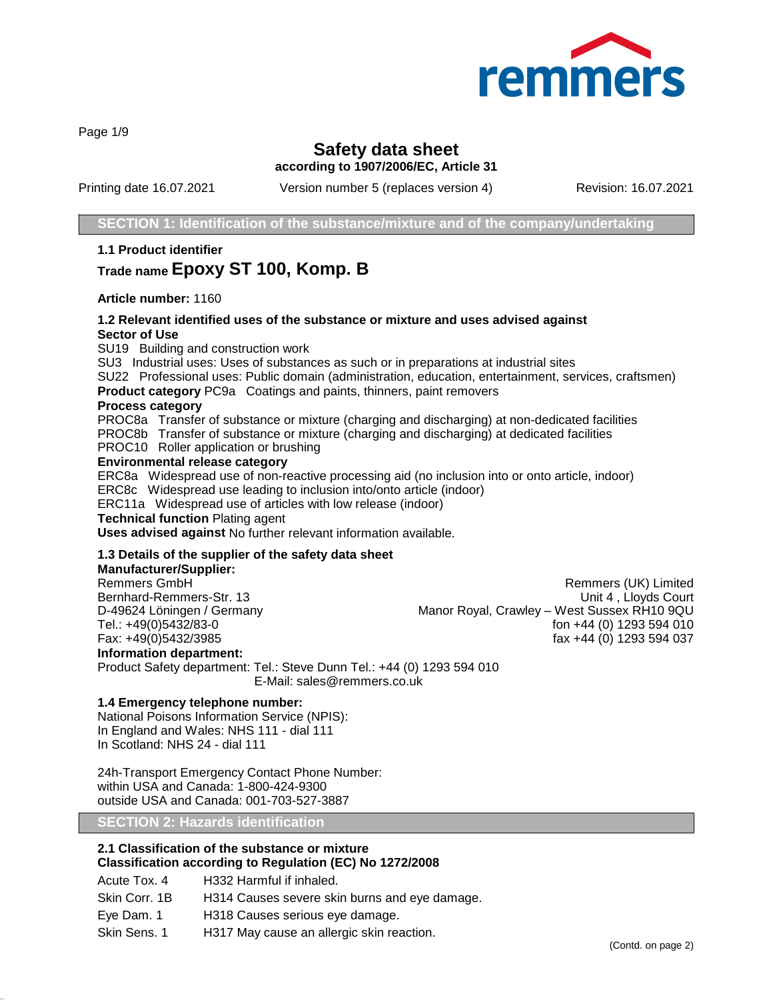

Page 1/9

# **Safety data sheet**

**according to 1907/2006/EC, Article 31**

Printing date 16.07.2021 Version number 5 (replaces version 4) Revision: 16.07.2021

**SECTION 1: Identification of the substance/mixture and of the company/undertaking**

**1.1 Product identifier**

# **Trade name Epoxy ST 100, Komp. B**

**Article number:** 1160

# **1.2 Relevant identified uses of the substance or mixture and uses advised against Sector of Use**

SU19 Building and construction work

SU3 Industrial uses: Uses of substances as such or in preparations at industrial sites

SU22 Professional uses: Public domain (administration, education, entertainment, services, craftsmen)

**Product category** PC9a Coatings and paints, thinners, paint removers

# **Process category**

PROC8a Transfer of substance or mixture (charging and discharging) at non-dedicated facilities PROC8b Transfer of substance or mixture (charging and discharging) at dedicated facilities

PROC10 Roller application or brushing

# **Environmental release category**

ERC8a Widespread use of non-reactive processing aid (no inclusion into or onto article, indoor)

ERC8c Widespread use leading to inclusion into/onto article (indoor)

ERC11a Widespread use of articles with low release (indoor)

**Technical function** Plating agent

**Uses advised against** No further relevant information available.

# **1.3 Details of the supplier of the safety data sheet**

# **Manufacturer/Supplier:**

Remmers GmbH **Remmers (UK)** Limited Bernhard-Remmers-Str. 13 Unit 4 , Lloyds Court D-49624 Löningen / Germany Manor Royal, Crawley – West Sussex RH10 9QU<br>Tel.: +49(0)5432/83-0 fon +44 (0) 1293 594 010 Tel.: +49(0)5432/83-0 **for the state of the state of the state of the state of the state of the state of the state of the state of the state of the state of the state of the state of the state of the state of the state of** fax +44 (0) 1293 594 037 **Information department:** Product Safety department: Tel.: Steve Dunn Tel.: +44 (0) 1293 594 010

E-Mail: sales@remmers.co.uk

#### **1.4 Emergency telephone number:**

National Poisons Information Service (NPIS): In England and Wales: NHS 111 - dial 111 In Scotland: NHS 24 - dial 111

24h-Transport Emergency Contact Phone Number: within USA and Canada: 1-800-424-9300 outside USA and Canada: 001-703-527-3887

**SECTION 2: Hazards identification**

# **2.1 Classification of the substance or mixture Classification according to Regulation (EC) No 1272/2008**

| Acute Tox. 4  | H332 Harmful if inhaled.                      |
|---------------|-----------------------------------------------|
| Skin Corr. 1B | H314 Causes severe skin burns and eye damage. |
| Eye Dam. 1    | H318 Causes serious eye damage.               |
| Skin Sens. 1  | H317 May cause an allergic skin reaction.     |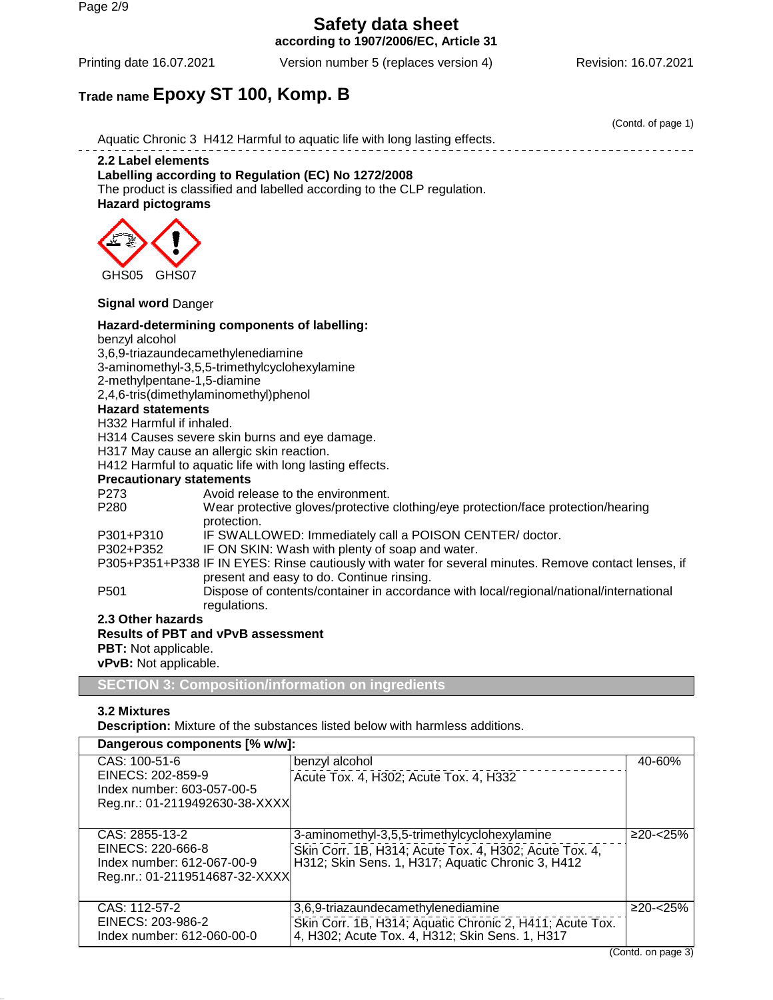Page 2/9

**Safety data sheet according to 1907/2006/EC, Article 31**

Printing date 16.07.2021 Version number 5 (replaces version 4) Revision: 16.07.2021

# **Trade name Epoxy ST 100, Komp. B**

|                                                | (Contd. of page 1)                                                                                                             |
|------------------------------------------------|--------------------------------------------------------------------------------------------------------------------------------|
|                                                | Aquatic Chronic 3 H412 Harmful to aquatic life with long lasting effects.                                                      |
| 2.2 Label elements<br><b>Hazard pictograms</b> | Labelling according to Regulation (EC) No 1272/2008<br>The product is classified and labelled according to the CLP regulation. |
| GHS05<br>GHS07                                 |                                                                                                                                |
| <b>Signal word Danger</b>                      |                                                                                                                                |
|                                                | Hazard-determining components of labelling:                                                                                    |
| benzyl alcohol                                 |                                                                                                                                |
|                                                | 3,6,9-triazaundecamethylenediamine<br>3-aminomethyl-3,5,5-trimethylcyclohexylamine                                             |
|                                                | 2-methylpentane-1,5-diamine                                                                                                    |
|                                                | 2,4,6-tris(dimethylaminomethyl)phenol                                                                                          |
| <b>Hazard statements</b>                       |                                                                                                                                |
| H332 Harmful if inhaled.                       |                                                                                                                                |
|                                                | H314 Causes severe skin burns and eye damage.                                                                                  |
|                                                | H317 May cause an allergic skin reaction.                                                                                      |
|                                                | H412 Harmful to aquatic life with long lasting effects.                                                                        |
| <b>Precautionary statements</b>                |                                                                                                                                |
| P273<br>P280                                   | Avoid release to the environment.<br>Wear protective gloves/protective clothing/eye protection/face protection/hearing         |
|                                                | protection.                                                                                                                    |
| P301+P310                                      | IF SWALLOWED: Immediately call a POISON CENTER/ doctor.                                                                        |
| P302+P352                                      | IF ON SKIN: Wash with plenty of soap and water.                                                                                |
|                                                | P305+P351+P338 IF IN EYES: Rinse cautiously with water for several minutes. Remove contact lenses, if                          |
|                                                | present and easy to do. Continue rinsing.                                                                                      |
| P <sub>501</sub>                               | Dispose of contents/container in accordance with local/regional/national/international<br>regulations.                         |
| 2.3 Other hazards                              |                                                                                                                                |
|                                                | <b>Results of PBT and vPvB assessment</b>                                                                                      |
| PBT: Not applicable.                           |                                                                                                                                |
| vPvB: Not applicable.                          |                                                                                                                                |
|                                                | <b>SECTION 3: Composition/information on ingredients</b>                                                                       |
| <b>3.2 Mixtures</b>                            |                                                                                                                                |

**Description:** Mixture of the substances listed below with harmless additions.

| Dangerous components [% w/w]:  |                                                          |                      |
|--------------------------------|----------------------------------------------------------|----------------------|
| CAS: 100-51-6                  | benzyl alcohol                                           | 40-60%               |
| EINECS: 202-859-9              | Acute Tox. 4, H302; Acute Tox. 4, H332                   |                      |
| Index number: 603-057-00-5     |                                                          |                      |
| Reg.nr.: 01-2119492630-38-XXXX |                                                          |                      |
|                                |                                                          |                      |
| CAS: 2855-13-2                 | 3-aminomethyl-3,5,5-trimethylcyclohexylamine             | ≥20-<25 <sup>%</sup> |
| EINECS: 220-666-8              | Skin Corr. 1B, H314; Acute Tox. 4, H302; Acute Tox. 4,   |                      |
| Index number: 612-067-00-9     | H312; Skin Sens. 1, H317; Aquatic Chronic 3, H412        |                      |
| Reg.nr.: 01-2119514687-32-XXXX |                                                          |                      |
|                                |                                                          |                      |
| CAS: 112-57-2                  | 3,6,9-triazaundecamethylenediamine                       | ≥20-<25%             |
| EINECS: 203-986-2              | Skin Corr. 1B, H314; Aquatic Chronic 2, H411; Acute Tox. |                      |
| Index number: 612-060-00-0     | 4, H302; Acute Tox. 4, H312; Skin Sens. 1, H317          |                      |

(Contd. on page 3)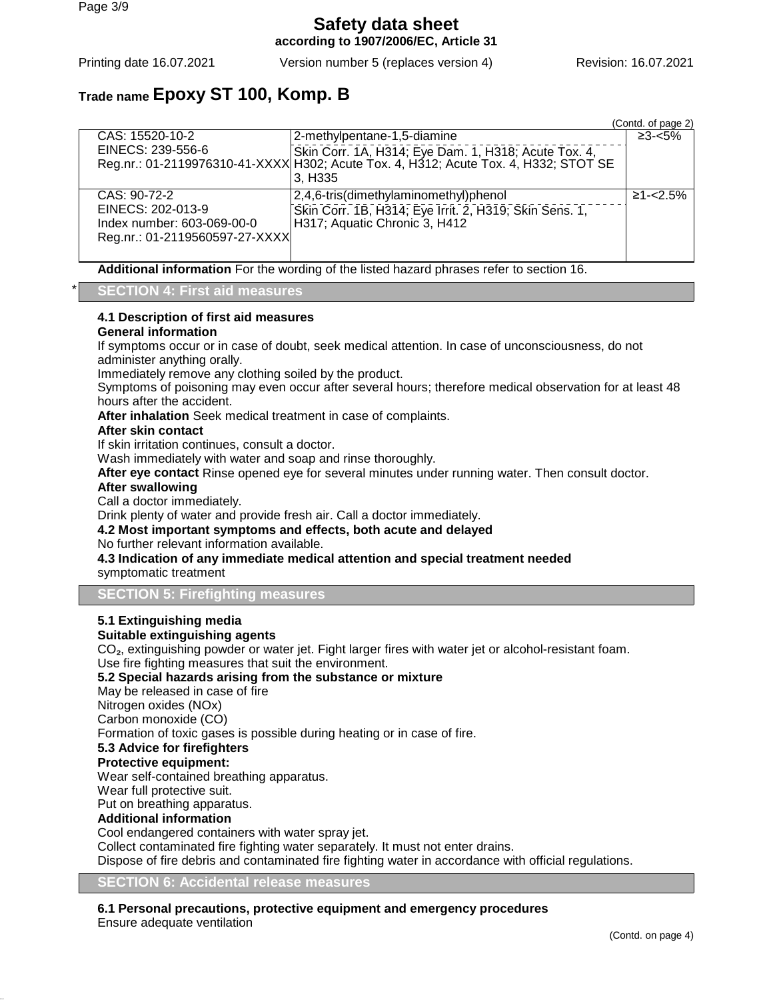**Safety data sheet according to 1907/2006/EC, Article 31**

Printing date 16.07.2021 Version number 5 (replaces version 4) Revision: 16.07.2021

# **Trade name Epoxy ST 100, Komp. B**

|                                |                                                                                                                                                                                                                              | (Contd. of page 2) |
|--------------------------------|------------------------------------------------------------------------------------------------------------------------------------------------------------------------------------------------------------------------------|--------------------|
| CAS: 15520-10-2                | 2-methylpentane-1,5-diamine                                                                                                                                                                                                  | $\geq$ 3-<5%       |
| EINECS: 239-556-6              | Skin Corr. 1A, H314; Eye Dam. 1, H318; Acute Tox. 4,                                                                                                                                                                         |                    |
|                                | Reg.nr.: 01-2119976310-41-XXXX H302; Acute Tox. 4, H312; Acute Tox. 4, H332; STOT SE                                                                                                                                         |                    |
|                                | 3. H <sub>335</sub>                                                                                                                                                                                                          |                    |
| CAS: 90-72-2                   | 2,4,6-tris(dimethylaminomethyl)phenol                                                                                                                                                                                        | $≥1 - < 2.5\%$     |
| EINECS: 202-013-9              |                                                                                                                                                                                                                              |                    |
| Index number: 603-069-00-0     | Skin Corr. 1B, H314; Eye Irrit. 2, H319; Skin Sens. 1,<br> H317; Aquatic Chronic 3, H412                                                                                                                                     |                    |
| Reg.nr.: 01-2119560597-27-XXXX |                                                                                                                                                                                                                              |                    |
|                                |                                                                                                                                                                                                                              |                    |
|                                | A different formation of the contract of the contract of the contract of the contract of the contract of the contract of the contract of the contract of the contract of the contract of the contract of the contract of the |                    |

**Additional information** For the wording of the listed hazard phrases refer to section 16.

\* **SECTION 4: First aid measures**

# **4.1 Description of first aid measures**

# **General information**

If symptoms occur or in case of doubt, seek medical attention. In case of unconsciousness, do not administer anything orally.

Immediately remove any clothing soiled by the product.

Symptoms of poisoning may even occur after several hours; therefore medical observation for at least 48 hours after the accident.

**After inhalation** Seek medical treatment in case of complaints.

# **After skin contact**

If skin irritation continues, consult a doctor.

Wash immediately with water and soap and rinse thoroughly.

**After eye contact** Rinse opened eye for several minutes under running water. Then consult doctor.

# **After swallowing**

Call a doctor immediately.

Drink plenty of water and provide fresh air. Call a doctor immediately.

# **4.2 Most important symptoms and effects, both acute and delayed**

No further relevant information available.

**4.3 Indication of any immediate medical attention and special treatment needed** symptomatic treatment

**SECTION 5: Firefighting measures**

# **5.1 Extinguishing media**

# **Suitable extinguishing agents**

CO₂, extinguishing powder or water jet. Fight larger fires with water jet or alcohol-resistant foam. Use fire fighting measures that suit the environment.

# **5.2 Special hazards arising from the substance or mixture**

May be released in case of fire

Nitrogen oxides (NOx)

Carbon monoxide (CO)

Formation of toxic gases is possible during heating or in case of fire.

# **5.3 Advice for firefighters**

# **Protective equipment:**

Wear self-contained breathing apparatus.

Wear full protective suit.

Put on breathing apparatus.

# **Additional information**

Cool endangered containers with water spray jet.

Collect contaminated fire fighting water separately. It must not enter drains.

Dispose of fire debris and contaminated fire fighting water in accordance with official regulations.

**SECTION 6: Accidental release measures**

**6.1 Personal precautions, protective equipment and emergency procedures** Ensure adequate ventilation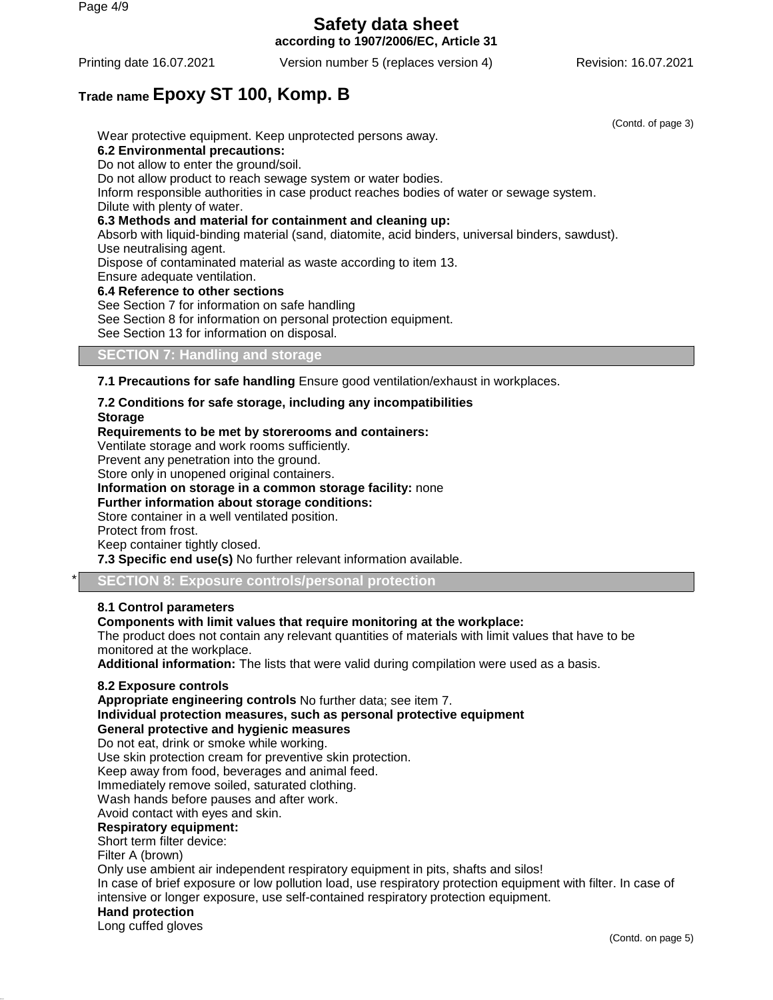**according to 1907/2006/EC, Article 31**

Printing date 16.07.2021 Version number 5 (replaces version 4) Revision: 16.07.2021

# **Trade name Epoxy ST 100, Komp. B**

(Contd. of page 3) Wear protective equipment. Keep unprotected persons away. **6.2 Environmental precautions:** Do not allow to enter the ground/soil. Do not allow product to reach sewage system or water bodies. Inform responsible authorities in case product reaches bodies of water or sewage system. Dilute with plenty of water. **6.3 Methods and material for containment and cleaning up:** Absorb with liquid-binding material (sand, diatomite, acid binders, universal binders, sawdust). Use neutralising agent. Dispose of contaminated material as waste according to item 13. Ensure adequate ventilation. **6.4 Reference to other sections** See Section 7 for information on safe handling See Section 8 for information on personal protection equipment. See Section 13 for information on disposal. **SECTION 7: Handling and storage**

**7.1 Precautions for safe handling** Ensure good ventilation/exhaust in workplaces.

# **7.2 Conditions for safe storage, including any incompatibilities Storage**

**Requirements to be met by storerooms and containers:** Ventilate storage and work rooms sufficiently. Prevent any penetration into the ground. Store only in unopened original containers. **Information on storage in a common storage facility:** none **Further information about storage conditions:** Store container in a well ventilated position. Protect from frost. Keep container tightly closed. **7.3 Specific end use(s)** No further relevant information available.

**SECTION 8: Exposure controls/personal protection** 

# **8.1 Control parameters**

# **Components with limit values that require monitoring at the workplace:**

The product does not contain any relevant quantities of materials with limit values that have to be monitored at the workplace.

**Additional information:** The lists that were valid during compilation were used as a basis.

# **8.2 Exposure controls**

**Appropriate engineering controls** No further data; see item 7. **Individual protection measures, such as personal protective equipment General protective and hygienic measures** Do not eat, drink or smoke while working. Use skin protection cream for preventive skin protection.

Keep away from food, beverages and animal feed.

Immediately remove soiled, saturated clothing.

Wash hands before pauses and after work.

Avoid contact with eyes and skin.

# **Respiratory equipment:**

Short term filter device:

Filter A (brown)

Only use ambient air independent respiratory equipment in pits, shafts and silos!

In case of brief exposure or low pollution load, use respiratory protection equipment with filter. In case of intensive or longer exposure, use self-contained respiratory protection equipment.

# **Hand protection**

Long cuffed gloves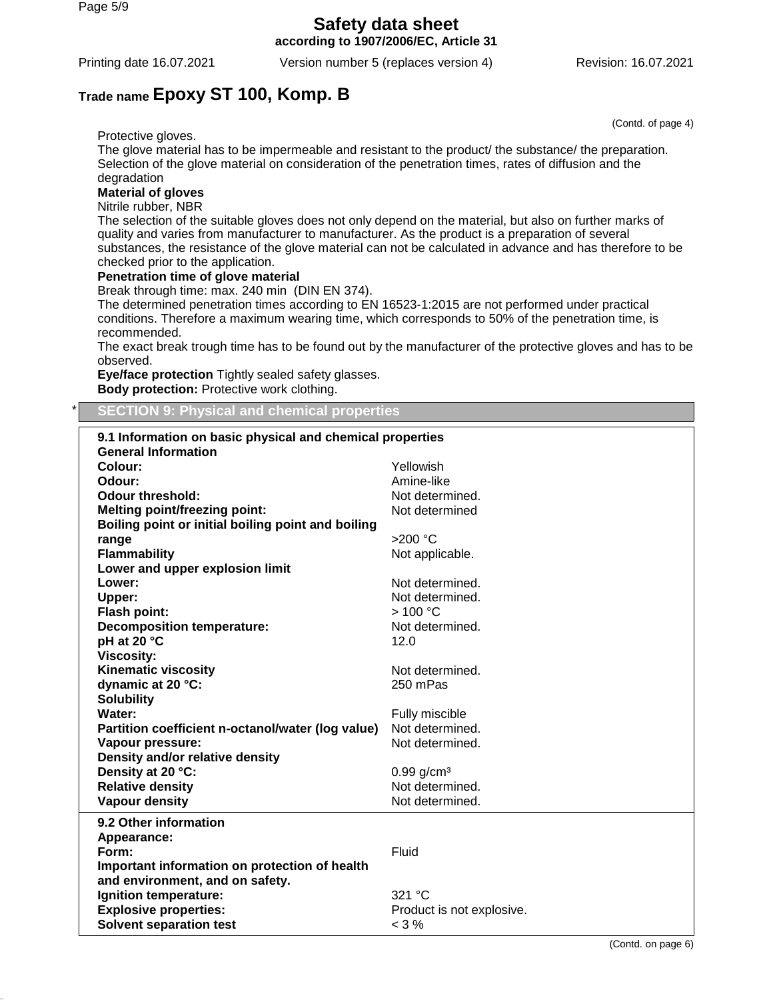**according to 1907/2006/EC, Article 31**

Printing date 16.07.2021 Version number 5 (replaces version 4) Revision: 16.07.2021

(Contd. of page 4)

# **Trade name Epoxy ST 100, Komp. B**

Protective gloves.

The glove material has to be impermeable and resistant to the product/ the substance/ the preparation. Selection of the glove material on consideration of the penetration times, rates of diffusion and the degradation

# **Material of gloves**

# Nitrile rubber, NBR

The selection of the suitable gloves does not only depend on the material, but also on further marks of quality and varies from manufacturer to manufacturer. As the product is a preparation of several substances, the resistance of the glove material can not be calculated in advance and has therefore to be checked prior to the application.

# **Penetration time of glove material**

Break through time: max. 240 min (DIN EN 374).

The determined penetration times according to EN 16523-1:2015 are not performed under practical conditions. Therefore a maximum wearing time, which corresponds to 50% of the penetration time, is recommended.

The exact break trough time has to be found out by the manufacturer of the protective gloves and has to be observed.

**Eye/face protection** Tightly sealed safety glasses. **Body protection:** Protective work clothing.

**SECTION 9: Physical and chemical properties** 

| 9.1 Information on basic physical and chemical properties |
|-----------------------------------------------------------|
|                                                           |
| Yellowish                                                 |
| Amine-like                                                |
| Not determined.                                           |
| Not determined                                            |
|                                                           |
| $>200$ °C                                                 |
| Not applicable.                                           |
|                                                           |
| Not determined.                                           |
| Not determined.                                           |
| >100 °C                                                   |
| Not determined.                                           |
| 12.0                                                      |
|                                                           |
| Not determined.                                           |
| 250 mPas                                                  |
|                                                           |
| Fully miscible                                            |
| Not determined.                                           |
| Not determined.                                           |
|                                                           |
| $0.99$ g/cm <sup>3</sup>                                  |
| Not determined.                                           |
| Not determined.                                           |
|                                                           |
|                                                           |
| Fluid                                                     |
|                                                           |
|                                                           |
| 321 °C                                                    |
| Product is not explosive.                                 |
| $<$ 3 %                                                   |
|                                                           |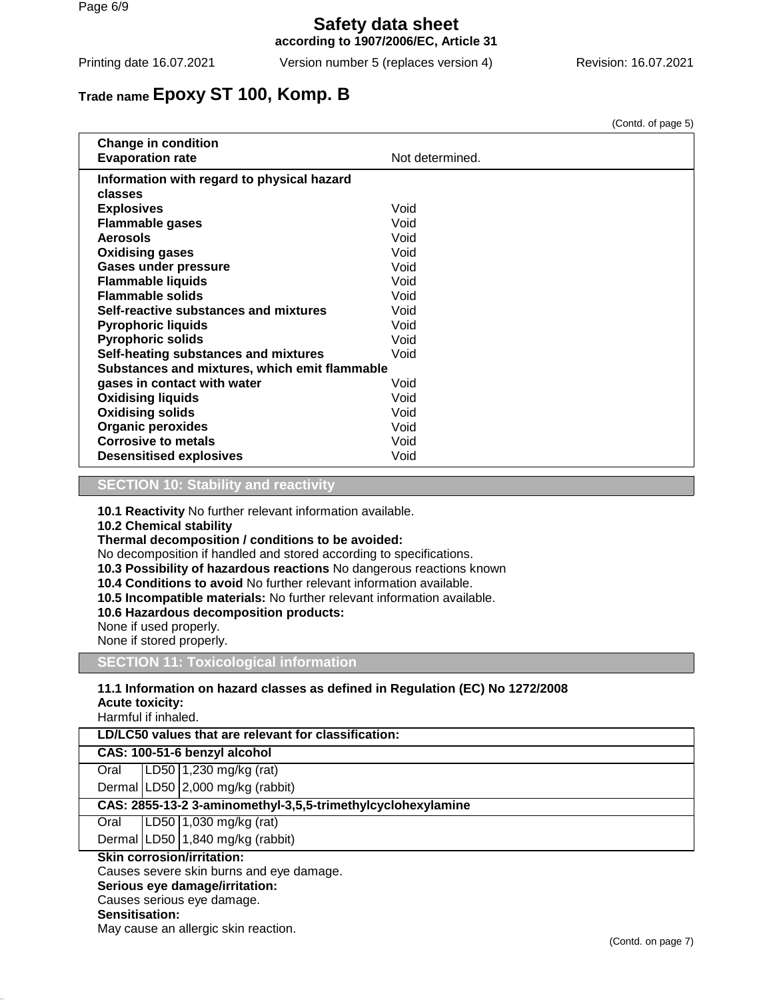**according to 1907/2006/EC, Article 31**

Printing date 16.07.2021 Version number 5 (replaces version 4) Revision: 16.07.2021

# **Trade name Epoxy ST 100, Komp. B**

(Contd. of page 5)

| <b>Change in condition</b>                    |                 |
|-----------------------------------------------|-----------------|
| <b>Evaporation rate</b>                       | Not determined. |
| Information with regard to physical hazard    |                 |
| classes                                       |                 |
| <b>Explosives</b>                             | Void            |
| <b>Flammable gases</b>                        | Void            |
| <b>Aerosols</b>                               | Void            |
| <b>Oxidising gases</b>                        | Void            |
| <b>Gases under pressure</b>                   | Void            |
| <b>Flammable liquids</b>                      | Void            |
| <b>Flammable solids</b>                       | Void            |
| Self-reactive substances and mixtures         | Void            |
| <b>Pyrophoric liquids</b>                     | Void            |
| <b>Pyrophoric solids</b>                      | Void            |
| Self-heating substances and mixtures          | Void            |
| Substances and mixtures, which emit flammable |                 |
| gases in contact with water                   | Void            |
| <b>Oxidising liquids</b>                      | Void            |
| <b>Oxidising solids</b>                       | Void            |
| <b>Organic peroxides</b>                      | Void            |
| <b>Corrosive to metals</b>                    | Void            |
| <b>Desensitised explosives</b>                | Void            |

**SECTION 10: Stability and reactivity**

**10.1 Reactivity** No further relevant information available.

**10.2 Chemical stability**

**Thermal decomposition / conditions to be avoided:**

No decomposition if handled and stored according to specifications.

**10.3 Possibility of hazardous reactions** No dangerous reactions known

**10.4 Conditions to avoid** No further relevant information available.

**10.5 Incompatible materials:** No further relevant information available.

# **10.6 Hazardous decomposition products:**

None if used properly.

None if stored properly.

**SECTION 11: Toxicological information**

# **11.1 Information on hazard classes as defined in Regulation (EC) No 1272/2008 Acute toxicity:**

Harmful if inhaled.

| CAS: 100-51-6 benzyl alcohol |  |
|------------------------------|--|

Oral LD50 1,230 mg/kg (rat)

Dermal LD50 2,000 mg/kg (rabbit)

**CAS: 2855-13-2 3-aminomethyl-3,5,5-trimethylcyclohexylamine**

Oral LD50 1,030 mg/kg (rat)

Dermal  $|LD50|1,840$  mg/kg (rabbit)

#### **Skin corrosion/irritation:** Causes severe skin burns and eye damage. **Serious eye damage/irritation:**

Causes serious eye damage.

**Sensitisation:**

May cause an allergic skin reaction.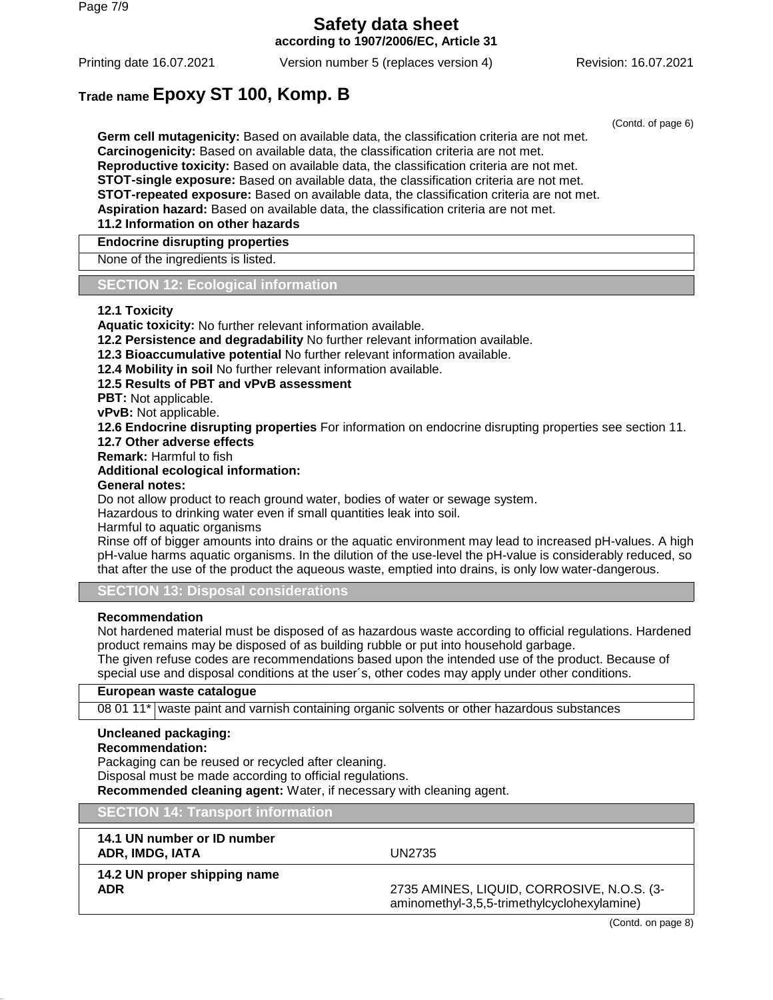**according to 1907/2006/EC, Article 31**

Printing date 16.07.2021 Version number 5 (replaces version 4) Revision: 16.07.2021

# **Trade name Epoxy ST 100, Komp. B**

(Contd. of page 6)

**Germ cell mutagenicity:** Based on available data, the classification criteria are not met. **Carcinogenicity:** Based on available data, the classification criteria are not met. **Reproductive toxicity:** Based on available data, the classification criteria are not met. **STOT-single exposure:** Based on available data, the classification criteria are not met. **STOT-repeated exposure:** Based on available data, the classification criteria are not met. **Aspiration hazard:** Based on available data, the classification criteria are not met. **11.2 Information on other hazards**

**Endocrine disrupting properties**

None of the ingredients is listed.

**SECTION 12: Ecological information**

# **12.1 Toxicity**

**Aquatic toxicity:** No further relevant information available.

**12.2 Persistence and degradability** No further relevant information available.

**12.3 Bioaccumulative potential** No further relevant information available.

**12.4 Mobility in soil** No further relevant information available.

**12.5 Results of PBT and vPvB assessment**

**PBT:** Not applicable.

**vPvB:** Not applicable.

**12.6 Endocrine disrupting properties** For information on endocrine disrupting properties see section 11. **12.7 Other adverse effects**

**Remark:** Harmful to fish

### **Additional ecological information:**

#### **General notes:**

Do not allow product to reach ground water, bodies of water or sewage system.

Hazardous to drinking water even if small quantities leak into soil.

Harmful to aquatic organisms

Rinse off of bigger amounts into drains or the aquatic environment may lead to increased pH-values. A high pH-value harms aquatic organisms. In the dilution of the use-level the pH-value is considerably reduced, so that after the use of the product the aqueous waste, emptied into drains, is only low water-dangerous.

**SECTION 13: Disposal considerations**

# **Recommendation**

Not hardened material must be disposed of as hazardous waste according to official regulations. Hardened product remains may be disposed of as building rubble or put into household garbage.

The given refuse codes are recommendations based upon the intended use of the product. Because of special use and disposal conditions at the user´s, other codes may apply under other conditions.

# **European waste catalogue**

08 01 11\* waste paint and varnish containing organic solvents or other hazardous substances

# **Uncleaned packaging:**

#### **Recommendation:**

Packaging can be reused or recycled after cleaning. Disposal must be made according to official regulations.

**Recommended cleaning agent:** Water, if necessary with cleaning agent.

**SECTION 14: Transport information**

| <u>element in maneport information</u>         |                                                                                           |
|------------------------------------------------|-------------------------------------------------------------------------------------------|
| 14.1 UN number or ID number<br>ADR, IMDG, IATA | UN2735                                                                                    |
| 14.2 UN proper shipping name<br><b>ADR</b>     | 2735 AMINES, LIQUID, CORROSIVE, N.O.S. (3-<br>aminomethyl-3,5,5-trimethylcyclohexylamine) |
|                                                |                                                                                           |

(Contd. on page 8)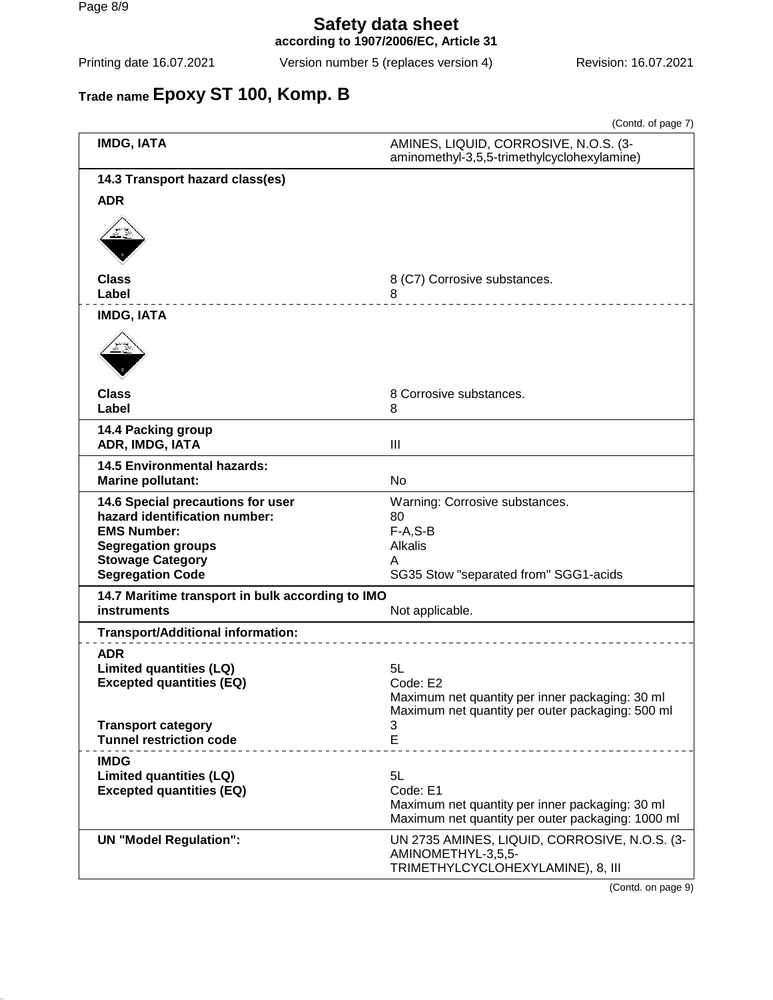Page 8/9

**Safety data sheet according to 1907/2006/EC, Article 31**

Printing date 16.07.2021 Version number 5 (replaces version 4) Revision: 16.07.2021

# **Trade name Epoxy ST 100, Komp. B**

(Contd. of page 7) **IMDG, IATA AMINES, LIQUID, CORROSIVE, N.O.S.** (3aminomethyl-3,5,5-trimethylcyclohexylamine) **14.3 Transport hazard class(es) ADR Class 8** (C7) Corrosive substances. **Label** 8 **IMDG, IATA Class 8** Corrosive substances. **Label** 8 **14.4 Packing group ADR, IMDG, IATA** III **14.5 Environmental hazards: Marine pollutant:** No **14.6 Special precautions for user** Warning: Corrosive substances. **hazard identification number:** 80 **EMS Number:** F-A,S-B **Segregation groups Alkalis Stowage Category** A **Segregation Code** SG35 Stow "separated from" SGG1-acids **14.7 Maritime transport in bulk according to IMO instruments** Not applicable. **Transport/Additional information: ADR Limited quantities (LQ)** 5L **Excepted quantities (EQ)** Code: E2 Maximum net quantity per inner packaging: 30 ml Maximum net quantity per outer packaging: 500 ml **Transport category** 3 **Tunnel restriction code** E **IMDG Limited quantities (LQ)** 5L **Excepted quantities (EQ)** Code: E1 Maximum net quantity per inner packaging: 30 ml Maximum net quantity per outer packaging: 1000 ml **UN "Model Regulation":** UN 2735 AMINES, LIQUID, CORROSIVE, N.O.S. (3- AMINOMETHYL-3,5,5- TRIMETHYLCYCLOHEXYLAMINE), 8, III

(Contd. on page 9)